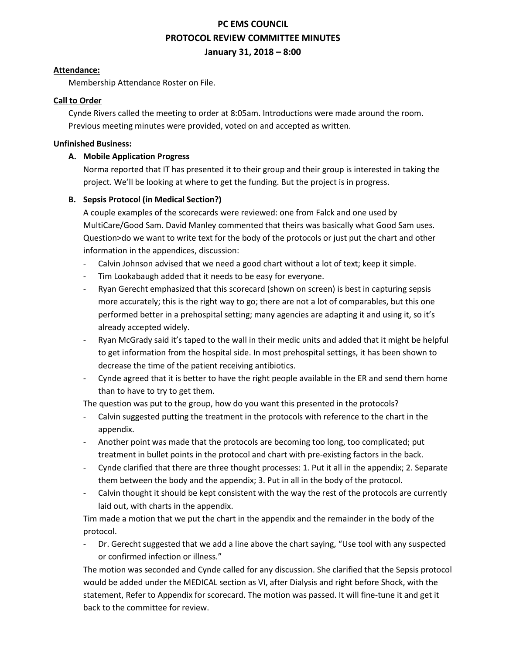# **PC EMS COUNCIL PROTOCOL REVIEW COMMITTEE MINUTES January 31, 2018 – 8:00**

## **Attendance:**

Membership Attendance Roster on File.

# **Call to Order**

Cynde Rivers called the meeting to order at 8:05am. Introductions were made around the room. Previous meeting minutes were provided, voted on and accepted as written.

## **Unfinished Business:**

# **A. Mobile Application Progress**

Norma reported that IT has presented it to their group and their group is interested in taking the project. We'll be looking at where to get the funding. But the project is in progress.

# **B. Sepsis Protocol (in Medical Section?)**

A couple examples of the scorecards were reviewed: one from Falck and one used by MultiCare/Good Sam. David Manley commented that theirs was basically what Good Sam uses. Question>do we want to write text for the body of the protocols or just put the chart and other information in the appendices, discussion:

- Calvin Johnson advised that we need a good chart without a lot of text; keep it simple.
- Tim Lookabaugh added that it needs to be easy for everyone.
- Ryan Gerecht emphasized that this scorecard (shown on screen) is best in capturing sepsis more accurately; this is the right way to go; there are not a lot of comparables, but this one performed better in a prehospital setting; many agencies are adapting it and using it, so it's already accepted widely.
- Ryan McGrady said it's taped to the wall in their medic units and added that it might be helpful to get information from the hospital side. In most prehospital settings, it has been shown to decrease the time of the patient receiving antibiotics.
- Cynde agreed that it is better to have the right people available in the ER and send them home than to have to try to get them.

The question was put to the group, how do you want this presented in the protocols?

- Calvin suggested putting the treatment in the protocols with reference to the chart in the appendix.
- Another point was made that the protocols are becoming too long, too complicated; put treatment in bullet points in the protocol and chart with pre-existing factors in the back.
- Cynde clarified that there are three thought processes: 1. Put it all in the appendix; 2. Separate them between the body and the appendix; 3. Put in all in the body of the protocol.
- Calvin thought it should be kept consistent with the way the rest of the protocols are currently laid out, with charts in the appendix.

Tim made a motion that we put the chart in the appendix and the remainder in the body of the protocol.

- Dr. Gerecht suggested that we add a line above the chart saying, "Use tool with any suspected or confirmed infection or illness."

The motion was seconded and Cynde called for any discussion. She clarified that the Sepsis protocol would be added under the MEDICAL section as VI, after Dialysis and right before Shock, with the statement, Refer to Appendix for scorecard. The motion was passed. It will fine-tune it and get it back to the committee for review.